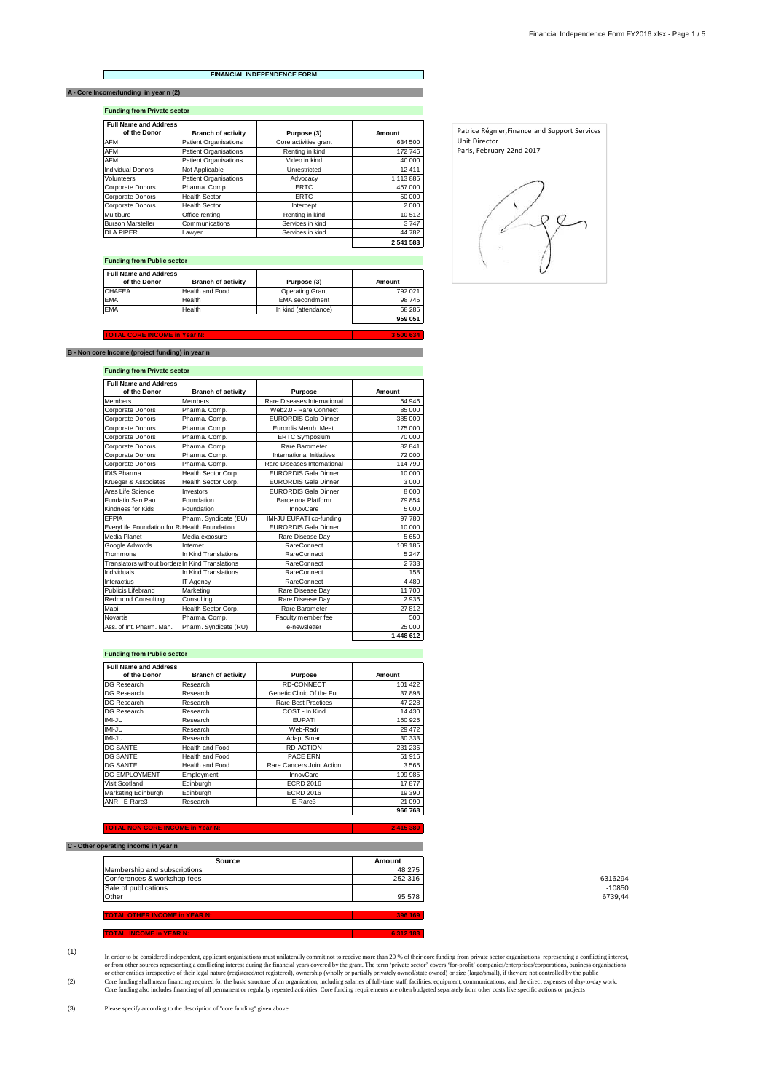#### **FINANCIAL INDEPENDENCE FORM**

# **A - Core Income/funding in year n (2)**

 $\Gamma$ 

**Funding from Private sector**

| <b>Full Name and Address</b><br>of the Donor | <b>Branch of activity</b>    | Purpose (3)           | Amount    |
|----------------------------------------------|------------------------------|-----------------------|-----------|
| <b>AFM</b>                                   | <b>Patient Organisations</b> | Core activities grant | 634 500   |
| <b>AFM</b>                                   | <b>Patient Organisations</b> | Renting in kind       | 172746    |
| <b>AFM</b>                                   | <b>Patient Organisations</b> | Video in kind         | 40 000    |
| <b>Individual Donors</b>                     | Not Applicable               | Unrestricted          | 12411     |
| Volunteers                                   | <b>Patient Organisations</b> | Advocacy              | 1 113 885 |
| Corporate Donors                             | Pharma, Comp.                | <b>FRTC</b>           | 457 000   |
| Corporate Donors                             | <b>Health Sector</b>         | <b>ERTC</b>           | 50 000    |
| Corporate Donors                             | <b>Health Sector</b>         | Intercept             | 2000      |
| Multiburo                                    | Office renting               | Renting in kind       | 10512     |
| <b>Burson Marsteller</b>                     | Communications               | Services in kind      | 3747      |
| <b>DLA PIPER</b>                             | Lawyer                       | Services in kind      | 44782     |
|                                              |                              |                       | 2 541 583 |

## **Funding from Public sector**

| <b>Full Name and Address</b><br>of the Donor | <b>Branch of activity</b> | Purpose (3)           | Amount  |
|----------------------------------------------|---------------------------|-----------------------|---------|
| <b>CHAFEA</b>                                | Health and Food           | Operating Grant       | 792 021 |
| <b>EMA</b>                                   | Health                    | <b>EMA</b> secondment | 98745   |
| <b>EMA</b>                                   | Health                    | In kind (attendance)  | 68 285  |
|                                              |                           |                       | 959 051 |

 **3 500 634**

#### **TOTAL CORE INCOME in Year N:**

## **B - Non core Income (project funding) in year n**

## **Funding from Private sector**

| <b>Full Name and Address</b><br>of the Donor     | <b>Branch of activity</b> | <b>Purpose</b>              | Amount    |
|--------------------------------------------------|---------------------------|-----------------------------|-----------|
| <b>Members</b>                                   | <b>Members</b>            | Rare Diseases International | 54 946    |
| Corporate Donors                                 | Pharma. Comp.             | Web2.0 - Rare Connect       | 85 000    |
| Corporate Donors                                 | Pharma. Comp.             | <b>FURORDIS Gala Dinner</b> | 385 000   |
| Corporate Donors                                 | Pharma. Comp.             | Furordis Memb. Meet.        | 175 000   |
| Corporate Donors                                 | Pharma. Comp.             | <b>ERTC Symposium</b>       | 70 000    |
| Corporate Donors                                 | Pharma. Comp.             | Rare Barometer              | 82 841    |
| Corporate Donors                                 | Pharma. Comp.             | International Initiatives   | 72 000    |
| Corporate Donors                                 | Pharma. Comp.             | Rare Diseases International | 114 790   |
| <b>IDIS Pharma</b>                               | Health Sector Corp.       | <b>EURORDIS Gala Dinner</b> | 10 000    |
| Krueger & Associates                             | Health Sector Corp.       | <b>EURORDIS Gala Dinner</b> | 3000      |
| Ares Life Science                                | Investors                 | <b>EURORDIS Gala Dinner</b> | 8000      |
| Fundatio San Pau                                 | Foundation                | Barcelona Platform          | 79854     |
| Kindness for Kids                                | Foundation                | InnovCare                   | 5 0 0 0   |
| <b>FFPIA</b>                                     | Pharm. Syndicate (EU)     | IMI-JU EUPATI co-funding    | 97 780    |
| EveryLife Foundation for R. Health Foundation    |                           | <b>FURORDIS Gala Dinner</b> | 10 000    |
| Media Planet                                     | Media exposure            | Rare Disease Day            | 5650      |
| Google Adwords                                   | Internet                  | RareConnect                 | 109 185   |
| Trommons                                         | In Kind Translations      | <b>RareConnect</b>          | 5 2 4 7   |
| Translators without borders In Kind Translations |                           | <b>RareConnect</b>          | 2733      |
| Individuals                                      | In Kind Translations      | RareConnect                 | 158       |
| Interactius                                      | IT Agency                 | <b>RareConnect</b>          | 4480      |
| Publicis Lifebrand                               | Marketing                 | Rare Disease Dav            | 11700     |
| <b>Redmond Consulting</b>                        | Consulting                | Rare Disease Day            | 2936      |
| Mapi                                             | Health Sector Corp.       | Rare Barometer              | 27812     |
| <b>Novartis</b>                                  | Pharma, Comp.             | Faculty member fee          | 500       |
| Ass. of Int. Pharm. Man.                         | Pharm. Syndicate (RU)     | e-newsletter                | 25 000    |
|                                                  |                           |                             | 1 448 612 |

### **Funding from Public sector**

| <b>Full Name and Address</b><br>of the Donor | <b>Branch of activity</b> | Purpose                    | Amount  |
|----------------------------------------------|---------------------------|----------------------------|---------|
| DG Research                                  | Research                  | <b>RD-CONNECT</b>          | 101 422 |
| DG Research                                  | Research                  | Genetic Clinic Of the Fut. | 37898   |
| DG Research                                  | Research                  | Rare Best Practices        | 47 228  |
| DG Research                                  | Research                  | COST - In Kind             | 14 4 30 |
| $IMI$ -JU                                    | Research                  | <b>FUPATI</b>              | 160 925 |
| IMI-JU                                       | Research                  | Web-Radr                   | 29472   |
| IMI-JU                                       | Research                  | Adapt Smart                | 30 333  |
| DG SANTE                                     | <b>Health and Food</b>    | <b>RD-ACTION</b>           | 231 236 |
| <b>DG SANTE</b>                              | <b>Health and Food</b>    | PACE ERN                   | 51916   |
| <b>DG SANTE</b>                              | <b>Health and Food</b>    | Rare Cancers Joint Action  | 3565    |
| DG EMPLOYMENT                                | Employment                | InnovCare                  | 199 985 |
| Visit Scotland                               | Edinburgh                 | <b>ECRD 2016</b>           | 17877   |
| Marketing Edinburgh                          | Edinburgh                 | <b>ECRD 2016</b>           | 19 390  |
| ANR - E-Rare3                                | Research                  | E-Rare3                    | 21 090  |
|                                              |                           |                            | 966 768 |

#### **TOTAL NON CORE INCOME in Year N:**

## **C** - Other operating inco

| Source                               | Amount  |  |
|--------------------------------------|---------|--|
| Membership and subscriptions         | 48 275  |  |
| Conferences & workshop fees          | 252 316 |  |
| Sale of publications                 |         |  |
| Other                                | 95 578  |  |
|                                      |         |  |
| <b>TOTAL OTHER INCOME in YEAR N:</b> | 396 169 |  |
|                                      |         |  |
| TOTAL INCOME in YEAR N:              | 6312183 |  |

0316294<br>10850-<br>6739,44

### (1)

(2) Core funding shall mean financing required for the basic structure of an organization, including salaries of full-time staff, facilities, equipment, communications, and the direct expenses of day-to-day work.<br>Core funding In order to be considered independent, applicant organisations must unilaterally commit not to receive more than 20 % of their core funding from private sector organisations representing a conflicting interest,<br>or form oth

 **2 415 380**



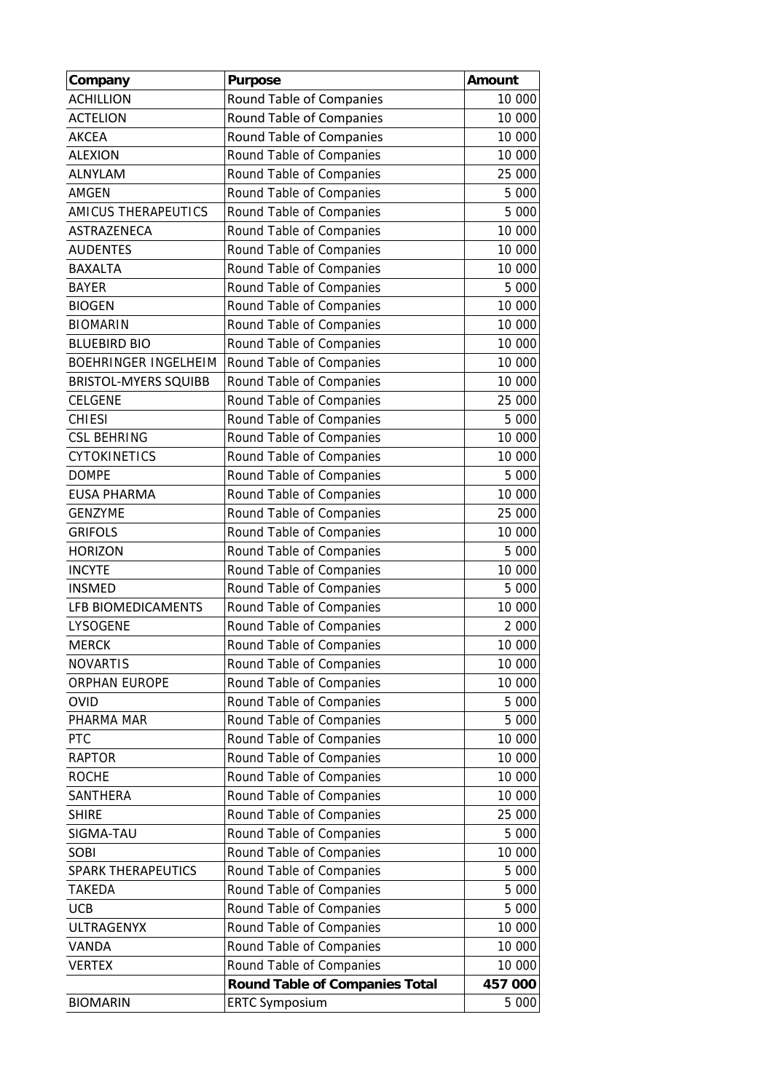| Company                     | <b>Purpose</b>                        | Amount  |
|-----------------------------|---------------------------------------|---------|
| <b>ACHILLION</b>            | Round Table of Companies              | 10 000  |
| <b>ACTELION</b>             | Round Table of Companies              | 10 000  |
| <b>AKCEA</b>                | Round Table of Companies              | 10 000  |
| <b>ALEXION</b>              | Round Table of Companies              | 10 000  |
| <b>ALNYLAM</b>              | Round Table of Companies              | 25 000  |
| AMGEN                       | Round Table of Companies              | 5 000   |
| AMICUS THERAPEUTICS         | Round Table of Companies              | 5 000   |
| ASTRAZENECA                 | Round Table of Companies              | 10 000  |
| <b>AUDENTES</b>             | Round Table of Companies              | 10 000  |
| <b>BAXALTA</b>              | Round Table of Companies              | 10 000  |
| <b>BAYER</b>                | Round Table of Companies              | 5 000   |
| <b>BIOGEN</b>               | Round Table of Companies              | 10 000  |
| <b>BIOMARIN</b>             | Round Table of Companies              | 10 000  |
| <b>BLUEBIRD BIO</b>         | Round Table of Companies              | 10 000  |
| <b>BOEHRINGER INGELHEIM</b> | Round Table of Companies              | 10 000  |
| <b>BRISTOL-MYERS SQUIBB</b> | Round Table of Companies              | 10 000  |
| <b>CELGENE</b>              | Round Table of Companies              | 25 000  |
| <b>CHIESI</b>               | Round Table of Companies              | 5 000   |
| <b>CSL BEHRING</b>          | Round Table of Companies              | 10 000  |
| <b>CYTOKINETICS</b>         | Round Table of Companies              | 10 000  |
| <b>DOMPE</b>                | Round Table of Companies              | 5 000   |
| <b>EUSA PHARMA</b>          | Round Table of Companies              | 10 000  |
| <b>GENZYME</b>              | Round Table of Companies              | 25 000  |
| <b>GRIFOLS</b>              | Round Table of Companies              | 10 000  |
| <b>HORIZON</b>              | Round Table of Companies              | 5 000   |
| <b>INCYTE</b>               | Round Table of Companies              | 10 000  |
| <b>INSMED</b>               | Round Table of Companies              | 5 000   |
| LFB BIOMEDICAMENTS          | Round Table of Companies              | 10 000  |
| LYSOGENE                    | Round Table of Companies              | 2 0 0 0 |
| <b>MERCK</b>                | Round Table of Companies              | 10 000  |
| <b>NOVARTIS</b>             | Round Table of Companies              | 10 000  |
| <b>ORPHAN EUROPE</b>        | Round Table of Companies              | 10 000  |
| OVID                        | Round Table of Companies              | 5 000   |
| PHARMA MAR                  | Round Table of Companies              | 5 000   |
| PTC                         | Round Table of Companies              | 10 000  |
| <b>RAPTOR</b>               | Round Table of Companies              | 10 000  |
| <b>ROCHE</b>                | Round Table of Companies              | 10 000  |
| SANTHERA                    | Round Table of Companies              | 10 000  |
| <b>SHIRE</b>                | Round Table of Companies              | 25 000  |
| SIGMA-TAU                   | Round Table of Companies              | 5 000   |
| SOBI                        | Round Table of Companies              | 10 000  |
| <b>SPARK THERAPEUTICS</b>   | Round Table of Companies              | 5 000   |
| <b>TAKEDA</b>               | Round Table of Companies              | 5 000   |
| <b>UCB</b>                  | Round Table of Companies              | 5 000   |
| <b>ULTRAGENYX</b>           | Round Table of Companies              | 10 000  |
| VANDA                       | Round Table of Companies              | 10 000  |
| <b>VERTEX</b>               | Round Table of Companies              | 10 000  |
|                             | <b>Round Table of Companies Total</b> | 457 000 |
| <b>BIOMARIN</b>             | <b>ERTC Symposium</b>                 | 5 000   |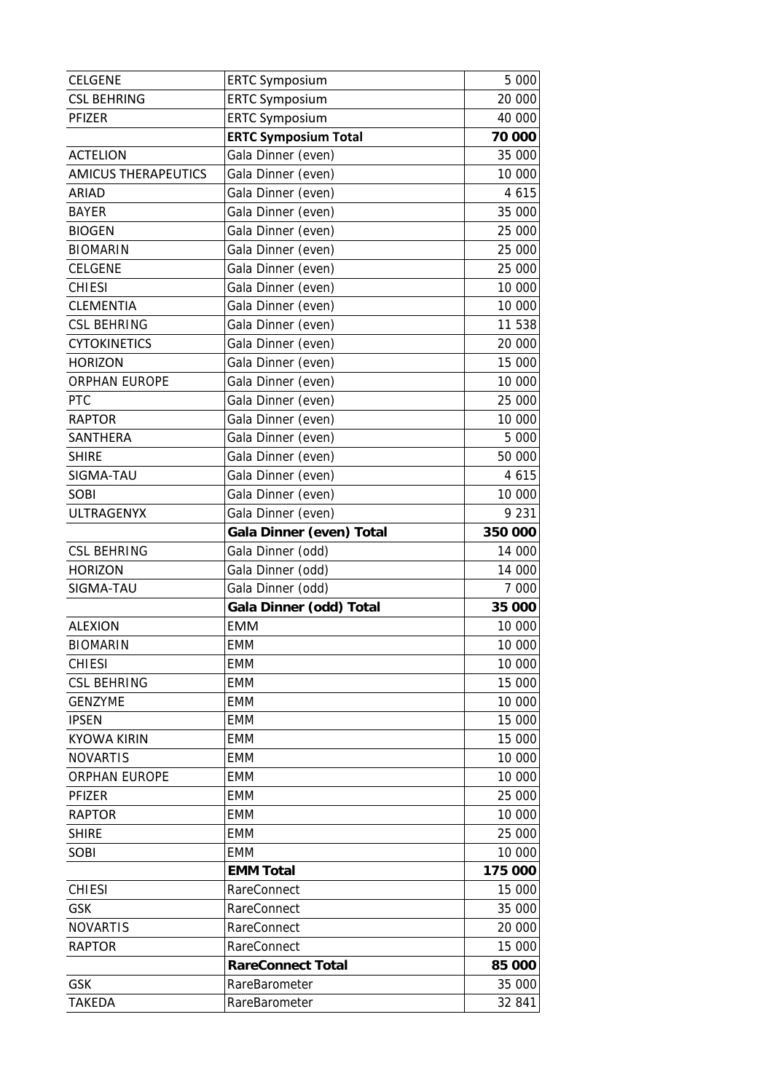| <b>CELGENE</b>              | <b>ERTC Symposium</b>          | 5 000            |
|-----------------------------|--------------------------------|------------------|
| <b>CSL BEHRING</b>          | <b>ERTC Symposium</b>          | 20 000           |
| PFIZER                      | <b>ERTC Symposium</b>          | 40 000           |
|                             | <b>ERTC Symposium Total</b>    | 70 000           |
| <b>ACTELION</b>             | Gala Dinner (even)             | 35 000           |
| <b>AMICUS THERAPEUTICS</b>  | Gala Dinner (even)             | 10 000           |
| ARIAD                       | Gala Dinner (even)             | 4 6 1 5          |
| <b>BAYER</b>                | Gala Dinner (even)             | 35 000           |
| <b>BIOGEN</b>               | Gala Dinner (even)             | 25 000           |
| <b>BIOMARIN</b>             | Gala Dinner (even)             | 25 000           |
| CELGENE                     | Gala Dinner (even)             | 25 000           |
| <b>CHIESI</b>               | Gala Dinner (even)             | 10 000           |
| <b>CLEMENTIA</b>            | Gala Dinner (even)             | 10 000           |
| <b>CSL BEHRING</b>          | Gala Dinner (even)             | 11 538           |
| <b>CYTOKINETICS</b>         | Gala Dinner (even)             | 20 000           |
| <b>HORIZON</b>              | Gala Dinner (even)             | 15 000           |
| <b>ORPHAN EUROPE</b>        | Gala Dinner (even)             | 10 000           |
| <b>PTC</b>                  | Gala Dinner (even)             | 25 000           |
| <b>RAPTOR</b>               | Gala Dinner (even)             | 10 000           |
| SANTHERA                    | Gala Dinner (even)             | 5 000            |
| <b>SHIRE</b>                | Gala Dinner (even)             | 50 000           |
| SIGMA-TAU                   | Gala Dinner (even)             | 4 6 1 5          |
| <b>SOBI</b>                 | Gala Dinner (even)             | 10 000           |
| <b>ULTRAGENYX</b>           | Gala Dinner (even)             | 9 2 3 1          |
|                             | Gala Dinner (even) Total       | 350 000          |
|                             |                                |                  |
| <b>CSL BEHRING</b>          | Gala Dinner (odd)              | 14 000           |
| <b>HORIZON</b>              | Gala Dinner (odd)              | 14 000           |
| SIGMA-TAU                   | Gala Dinner (odd)              | 7 000            |
|                             | Gala Dinner (odd) Total        | 35 000           |
| <b>ALEXION</b>              | <b>EMM</b>                     | 10 000           |
| <b>BIOMARIN</b>             | <b>EMM</b>                     | 10 000           |
| <b>CHIESI</b>               | <b>EMM</b>                     | 10 000           |
| <b>CSL BEHRING</b>          | <b>EMM</b>                     | 15 000           |
| <b>GENZYME</b>              | EMM                            | 10 000           |
| <b>IPSEN</b>                | <b>EMM</b>                     | 15 000           |
| <b>KYOWA KIRIN</b>          | EMM                            | 15 000           |
| <b>NOVARTIS</b>             | EMM                            | 10 000           |
| <b>ORPHAN EUROPE</b>        | <b>EMM</b>                     | 10 000           |
| PFIZER                      | <b>EMM</b>                     | 25 000           |
| <b>RAPTOR</b>               | EMM                            | 10 000           |
| <b>SHIRE</b>                | <b>EMM</b>                     | 25 000           |
| SOBI                        | <b>EMM</b>                     | 10 000           |
|                             | <b>EMM Total</b>               | 175 000          |
| <b>CHIESI</b>               | <b>RareConnect</b>             | 15 000           |
| GSK                         | RareConnect                    | 35 000           |
| <b>NOVARTIS</b>             | <b>RareConnect</b>             | 20 000           |
| <b>RAPTOR</b>               | RareConnect                    | 15 000           |
|                             | <b>RareConnect Total</b>       | 85 000           |
| <b>GSK</b><br><b>TAKEDA</b> | RareBarometer<br>RareBarometer | 35 000<br>32 841 |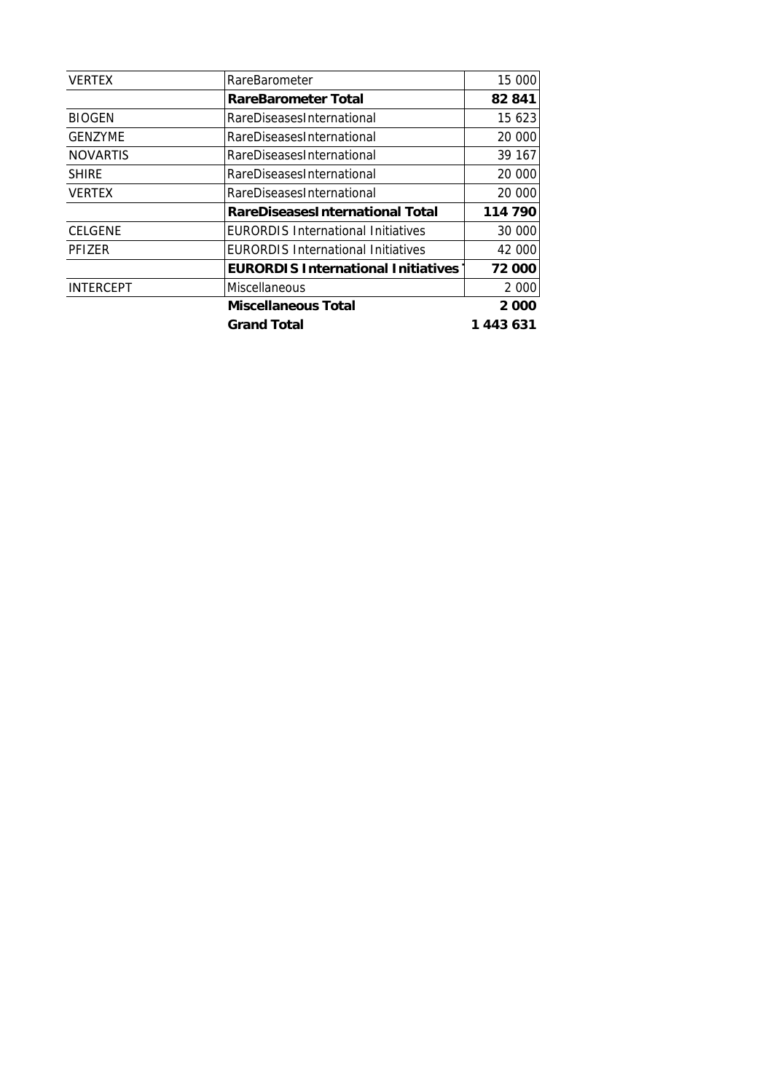| <b>VERTEX</b>    | RareBarometer                             | 15 000    |
|------------------|-------------------------------------------|-----------|
|                  | <b>RareBarometer Total</b>                | 82841     |
| <b>BIOGEN</b>    | RareDiseasesInternational                 | 15 623    |
| <b>GENZYME</b>   | RareDiseasesInternational                 | 20 000    |
| <b>NOVARTIS</b>  | RareDiseasesInternational                 | 39 167    |
| <b>SHIRE</b>     | RareDiseasesInternational                 | 20 000    |
| <b>VERTEX</b>    | RareDiseasesInternational                 | 20 000    |
|                  | <b>RareDiseasesInternational Total</b>    | 114 790   |
| <b>CELGENE</b>   | <b>EURORDIS International Initiatives</b> | 30 000    |
| PFIZER           | <b>EURORDIS International Initiatives</b> | 42 000    |
|                  | <b>EURORDIS International Initiatives</b> | 72 000    |
| <b>INTERCEPT</b> | <b>Miscellaneous</b>                      | 2 0 0 0   |
|                  | <b>Miscellaneous Total</b>                | 2000      |
|                  | <b>Grand Total</b>                        | 1 443 631 |